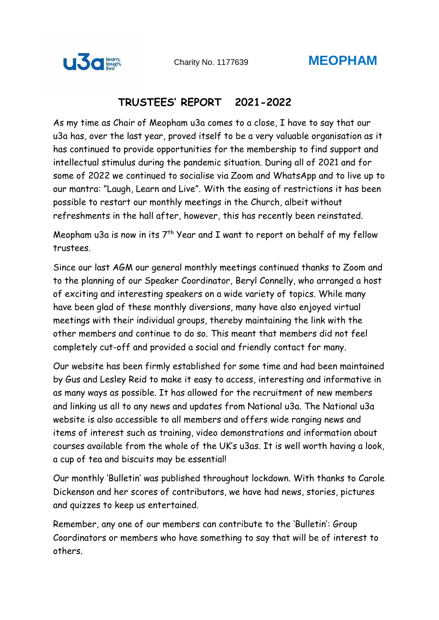

## **TRUSTEES' REPORT 2021-2022**

As my time as Chair of Meopham u3a comes to a close, I have to say that our u3a has, over the last year, proved itself to be a very valuable organisation as it has continued to provide opportunities for the membership to find support and intellectual stimulus during the pandemic situation. During all of 2021 and for some of 2022 we continued to socialise via Zoom and WhatsApp and to live up to our mantra: "Laugh, Learn and Live". With the easing of restrictions it has been possible to restart our monthly meetings in the Church, albeit without refreshments in the hall after, however, this has recently been reinstated.

Meopham u3a is now in its  $7<sup>th</sup>$  Year and I want to report on behalf of my fellow trustees.

Since our last AGM our general monthly meetings continued thanks to Zoom and to the planning of our Speaker Coordinator, Beryl Connelly, who arranged a host of exciting and interesting speakers on a wide variety of topics. While many have been glad of these monthly diversions, many have also enjoyed virtual meetings with their individual groups, thereby maintaining the link with the other members and continue to do so. This meant that members did not feel completely cut-off and provided a social and friendly contact for many.

Our website has been firmly established for some time and had been maintained by Gus and Lesley Reid to make it easy to access, interesting and informative in as many ways as possible. It has allowed for the recruitment of new members and linking us all to any news and updates from National u3a. The National u3a website is also accessible to all members and offers wide ranging news and items of interest such as training, video demonstrations and information about courses available from the whole of the UK's u3as. It is well worth having a look, a cup of tea and biscuits may be essential!

Our monthly 'Bulletin' was published throughout lockdown. With thanks to Carole Dickenson and her scores of contributors, we have had news, stories, pictures and quizzes to keep us entertained.

Remember, any one of our members can contribute to the 'Bulletin': Group Coordinators or members who have something to say that will be of interest to others.